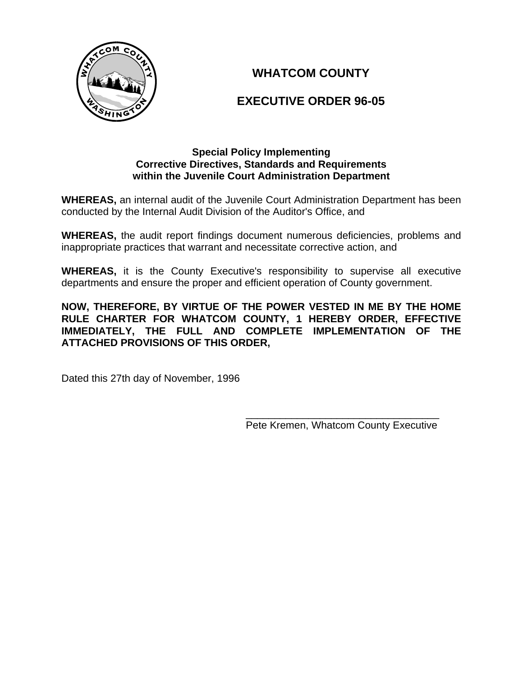

# **WHATCOM COUNTY**

# **EXECUTIVE ORDER 96-05**

#### **Special Policy Implementing Corrective Directives, Standards and Requirements within the Juvenile Court Administration Department**

**WHEREAS,** an internal audit of the Juvenile Court Administration Department has been conducted by the Internal Audit Division of the Auditor's Office, and

**WHEREAS,** the audit report findings document numerous deficiencies, problems and inappropriate practices that warrant and necessitate corrective action, and

**WHEREAS,** it is the County Executive's responsibility to supervise all executive departments and ensure the proper and efficient operation of County government.

**NOW, THEREFORE, BY VIRTUE OF THE POWER VESTED IN ME BY THE HOME RULE CHARTER FOR WHATCOM COUNTY, 1 HEREBY ORDER, EFFECTIVE IMMEDIATELY, THE FULL AND COMPLETE IMPLEMENTATION OF THE ATTACHED PROVISIONS OF THIS ORDER,**

Dated this 27th day of November, 1996

 $\frac{1}{\sqrt{2\pi}}$  , which is a set of the set of the set of the set of the set of the set of the set of the set of the set of the set of the set of the set of the set of the set of the set of the set of the set of the set of Pete Kremen, Whatcom County Executive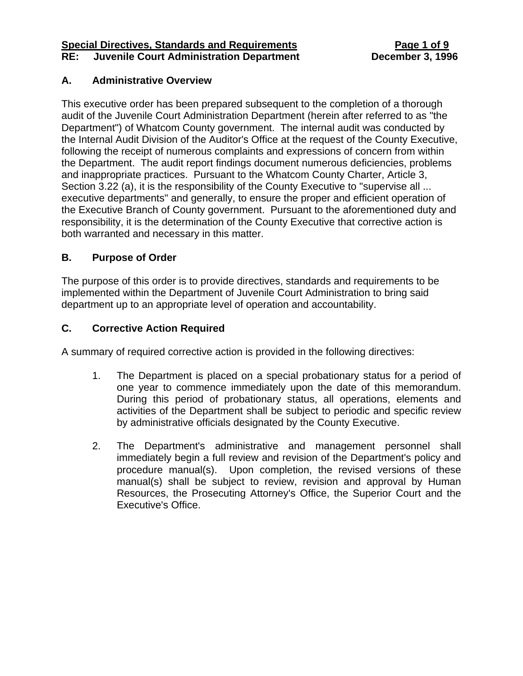#### **Special Directives, Standards and Requirements Page 1 of 9 RE: Juvenile Court Administration Department December 3, 1996**

## **A. Administrative Overview**

This executive order has been prepared subsequent to the completion of a thorough audit of the Juvenile Court Administration Department (herein after referred to as "the Department") of Whatcom County government. The internal audit was conducted by the Internal Audit Division of the Auditor's Office at the request of the County Executive, following the receipt of numerous complaints and expressions of concern from within the Department. The audit report findings document numerous deficiencies, problems and inappropriate practices. Pursuant to the Whatcom County Charter, Article 3, Section 3.22 (a), it is the responsibility of the County Executive to "supervise all ... executive departments" and generally, to ensure the proper and efficient operation of the Executive Branch of County government. Pursuant to the aforementioned duty and responsibility, it is the determination of the County Executive that corrective action is both warranted and necessary in this matter.

# **B. Purpose of Order**

The purpose of this order is to provide directives, standards and requirements to be implemented within the Department of Juvenile Court Administration to bring said department up to an appropriate level of operation and accountability.

# **C. Corrective Action Required**

A summary of required corrective action is provided in the following directives:

- 1. The Department is placed on a special probationary status for a period of one year to commence immediately upon the date of this memorandum. During this period of probationary status, all operations, elements and activities of the Department shall be subject to periodic and specific review by administrative officials designated by the County Executive.
- 2. The Department's administrative and management personnel shall immediately begin a full review and revision of the Department's policy and procedure manual(s). Upon completion, the revised versions of these manual(s) shall be subject to review, revision and approval by Human Resources, the Prosecuting Attorney's Office, the Superior Court and the Executive's Office.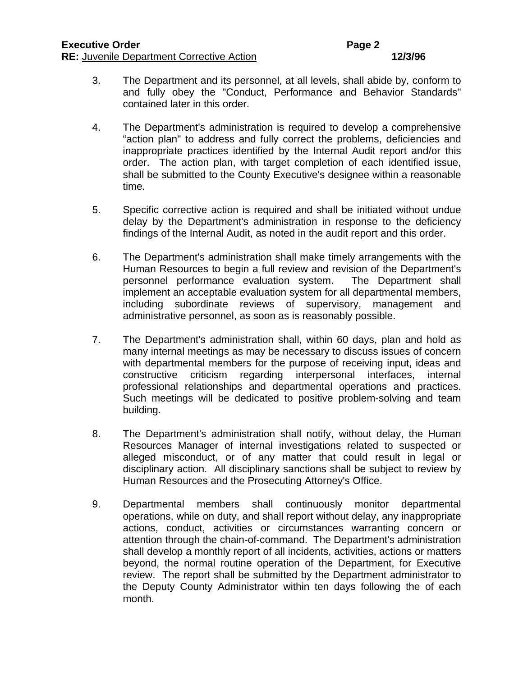- 3. The Department and its personnel, at all levels, shall abide by, conform to and fully obey the "Conduct, Performance and Behavior Standards" contained later in this order.
- 4. The Department's administration is required to develop a comprehensive "action plan" to address and fully correct the problems, deficiencies and inappropriate practices identified by the Internal Audit report and/or this order. The action plan, with target completion of each identified issue, shall be submitted to the County Executive's designee within a reasonable time.
- 5. Specific corrective action is required and shall be initiated without undue delay by the Department's administration in response to the deficiency findings of the Internal Audit, as noted in the audit report and this order.
- 6. The Department's administration shall make timely arrangements with the Human Resources to begin a full review and revision of the Department's personnel performance evaluation system. The Department shall implement an acceptable evaluation system for all departmental members, including subordinate reviews of supervisory, management and administrative personnel, as soon as is reasonably possible.
- 7. The Department's administration shall, within 60 days, plan and hold as many internal meetings as may be necessary to discuss issues of concern with departmental members for the purpose of receiving input, ideas and constructive criticism regarding interpersonal interfaces, internal professional relationships and departmental operations and practices. Such meetings will be dedicated to positive problem-solving and team building.
- 8. The Department's administration shall notify, without delay, the Human Resources Manager of internal investigations related to suspected or alleged misconduct, or of any matter that could result in legal or disciplinary action. All disciplinary sanctions shall be subject to review by Human Resources and the Prosecuting Attorney's Office.
- 9. Departmental members shall continuously monitor departmental operations, while on duty, and shall report without delay, any inappropriate actions, conduct, activities or circumstances warranting concern or attention through the chain-of-command. The Department's administration shall develop a monthly report of all incidents, activities, actions or matters beyond, the normal routine operation of the Department, for Executive review. The report shall be submitted by the Department administrator to the Deputy County Administrator within ten days following the of each month.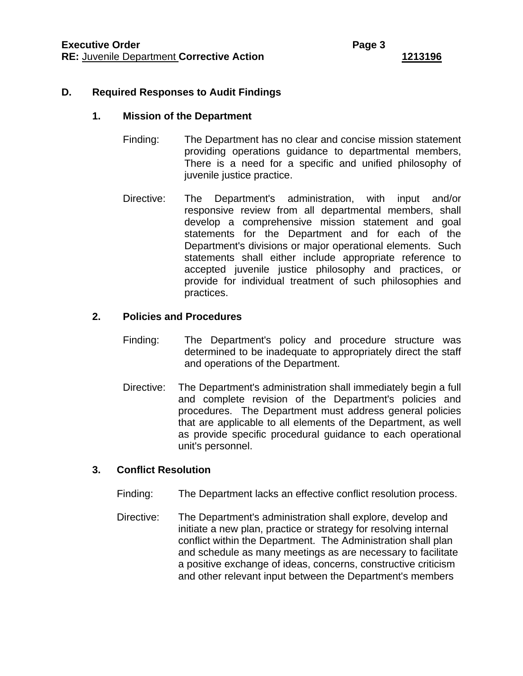#### **D. Required Responses to Audit Findings**

#### **1. Mission of the Department**

- Finding: The Department has no clear and concise mission statement providing operations guidance to departmental members, There is a need for a specific and unified philosophy of juvenile justice practice.
- Directive: The Department's administration, with input and/or responsive review from all departmental members, shall develop a comprehensive mission statement and goal statements for the Department and for each of the Department's divisions or major operational elements. Such statements shall either include appropriate reference to accepted juvenile justice philosophy and practices, or provide for individual treatment of such philosophies and practices.

#### **2. Policies and Procedures**

- Finding: The Department's policy and procedure structure was determined to be inadequate to appropriately direct the staff and operations of the Department.
- Directive: The Department's administration shall immediately begin a full and complete revision of the Department's policies and procedures. The Department must address general policies that are applicable to all elements of the Department, as well as provide specific procedural guidance to each operational unit's personnel.

#### **3. Conflict Resolution**

- Finding: The Department lacks an effective conflict resolution process.
- Directive: The Department's administration shall explore, develop and initiate a new plan, practice or strategy for resolving internal conflict within the Department. The Administration shall plan and schedule as many meetings as are necessary to facilitate a positive exchange of ideas, concerns, constructive criticism and other relevant input between the Department's members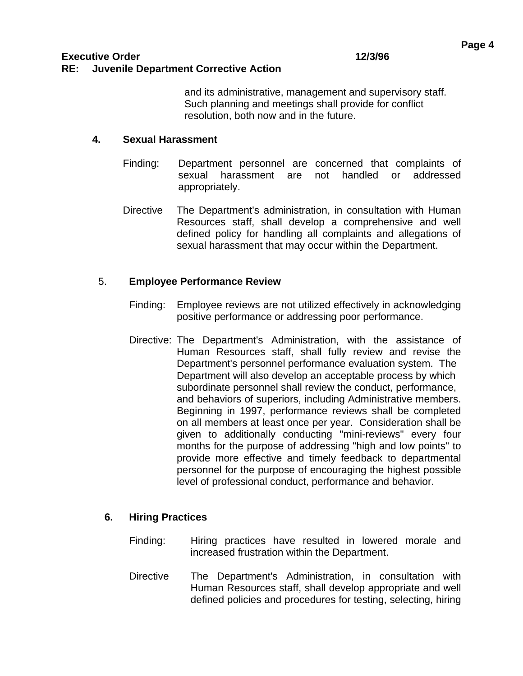and its administrative, management and supervisory staff. Such planning and meetings shall provide for conflict resolution, both now and in the future.

#### **4. Sexual Harassment**

- Finding: Department personnel are concerned that complaints of sexual harassment are not handled or addressed appropriately.
- Directive The Department's administration, in consultation with Human Resources staff, shall develop a comprehensive and well defined policy for handling all complaints and allegations of sexual harassment that may occur within the Department.

# 5. **Employee Performance Review**

- Finding: Employee reviews are not utilized effectively in acknowledging positive performance or addressing poor performance.
- Directive: The Department's Administration, with the assistance of Human Resources staff, shall fully review and revise the Department's personnel performance evaluation system. The Department will also develop an acceptable process by which subordinate personnel shall review the conduct, performance, and behaviors of superiors, including Administrative members. Beginning in 1997, performance reviews shall be completed on all members at least once per year. Consideration shall be given to additionally conducting "mini-reviews" every four months for the purpose of addressing "high and low points" to provide more effective and timely feedback to departmental personnel for the purpose of encouraging the highest possible level of professional conduct, performance and behavior.

## **6. Hiring Practices**

- Finding: Hiring practices have resulted in lowered morale and increased frustration within the Department.
- Directive The Department's Administration, in consultation with Human Resources staff, shall develop appropriate and well defined policies and procedures for testing, selecting, hiring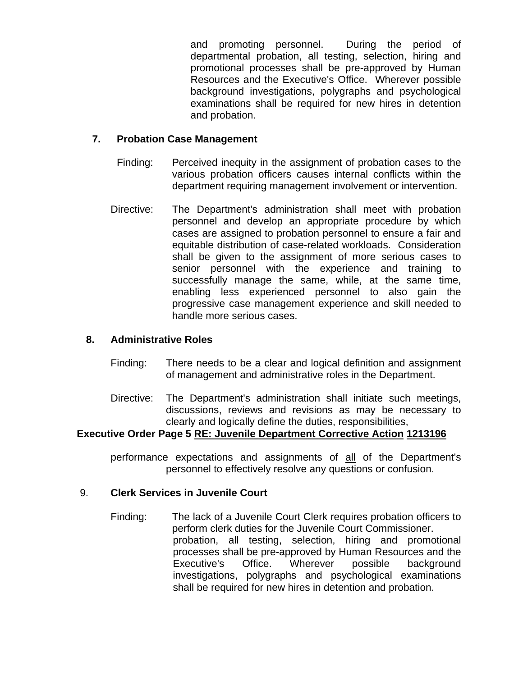and promoting personnel. During the period of departmental probation, all testing, selection, hiring and promotional processes shall be pre-approved by Human Resources and the Executive's Office. Wherever possible background investigations, polygraphs and psychological examinations shall be required for new hires in detention and probation.

#### **7. Probation Case Management**

- Finding: Perceived inequity in the assignment of probation cases to the various probation officers causes internal conflicts within the department requiring management involvement or intervention.
- Directive: The Department's administration shall meet with probation personnel and develop an appropriate procedure by which cases are assigned to probation personnel to ensure a fair and equitable distribution of case-related workloads. Consideration shall be given to the assignment of more serious cases to senior personnel with the experience and training to successfully manage the same, while, at the same time, enabling less experienced personnel to also gain the progressive case management experience and skill needed to handle more serious cases.

#### **8. Administrative Roles**

- Finding: There needs to be a clear and logical definition and assignment of management and administrative roles in the Department.
- Directive: The Department's administration shall initiate such meetings, discussions, reviews and revisions as may be necessary to clearly and logically define the duties, responsibilities,

#### **Executive Order Page 5 RE: Juvenile Department Corrective Action 1213196**

performance expectations and assignments of all of the Department's personnel to effectively resolve any questions or confusion.

#### 9. **Clerk Services in Juvenile Court**

Finding: The lack of a Juvenile Court Clerk requires probation officers to perform clerk duties for the Juvenile Court Commissioner. probation, all testing, selection, hiring and promotional processes shall be pre-approved by Human Resources and the Executive's Office. Wherever possible background investigations, polygraphs and psychological examinations shall be required for new hires in detention and probation.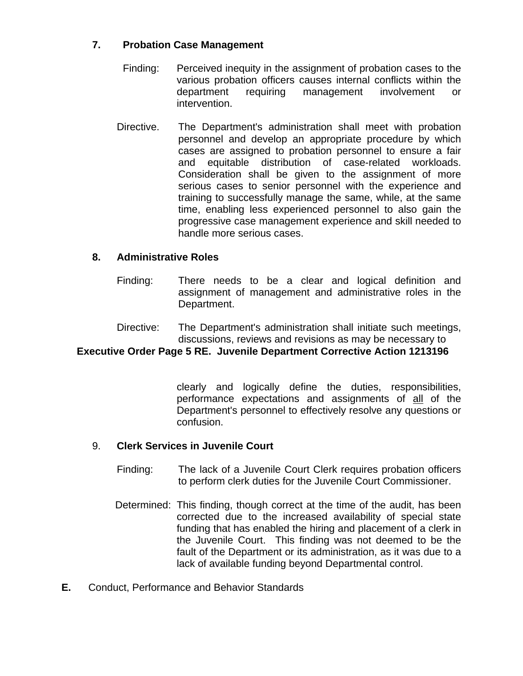## **7. Probation Case Management**

- Finding: Perceived inequity in the assignment of probation cases to the various probation officers causes internal conflicts within the department requiring management involvement or intervention.
- Directive. The Department's administration shall meet with probation personnel and develop an appropriate procedure by which cases are assigned to probation personnel to ensure a fair and equitable distribution of case-related workloads. Consideration shall be given to the assignment of more serious cases to senior personnel with the experience and training to successfully manage the same, while, at the same time, enabling less experienced personnel to also gain the progressive case management experience and skill needed to handle more serious cases.

## **8. Administrative Roles**

- Finding: There needs to be a clear and logical definition and assignment of management and administrative roles in the Department.
- Directive: The Department's administration shall initiate such meetings, discussions, reviews and revisions as may be necessary to

## **Executive Order Page 5 RE. Juvenile Department Corrective Action 1213196**

clearly and logically define the duties, responsibilities, performance expectations and assignments of all of the Department's personnel to effectively resolve any questions or confusion.

## 9. **Clerk Services in Juvenile Court**

- Finding: The lack of a Juvenile Court Clerk requires probation officers to perform clerk duties for the Juvenile Court Commissioner.
- Determined: This finding, though correct at the time of the audit, has been corrected due to the increased availability of special state funding that has enabled the hiring and placement of a clerk in the Juvenile Court. This finding was not deemed to be the fault of the Department or its administration, as it was due to a lack of available funding beyond Departmental control.
- **E.** Conduct, Performance and Behavior Standards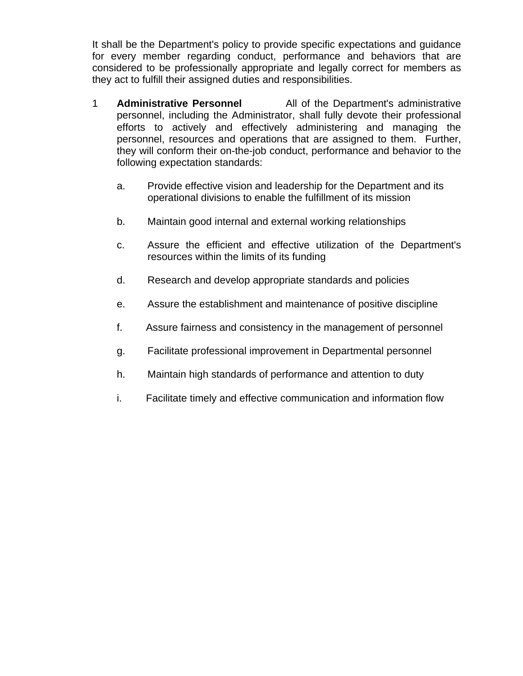It shall be the Department's policy to provide specific expectations and guidance for every member regarding conduct, performance and behaviors that are considered to be professionally appropriate and legally correct for members as they act to fulfill their assigned duties and responsibilities.

- 1 **Administrative Personnel** All of the Department's administrative personnel, including the Administrator, shall fully devote their professional efforts to actively and effectively administering and managing the personnel, resources and operations that are assigned to them. Further, they will conform their on-the-job conduct, performance and behavior to the following expectation standards:
	- a. Provide effective vision and leadership for the Department and its operational divisions to enable the fulfillment of its mission
	- b. Maintain good internal and external working relationships
	- c. Assure the efficient and effective utilization of the Department's resources within the limits of its funding
	- d. Research and develop appropriate standards and policies
	- e. Assure the establishment and maintenance of positive discipline
	- f. Assure fairness and consistency in the management of personnel
	- g. Facilitate professional improvement in Departmental personnel
	- h. Maintain high standards of performance and attention to duty
	- i. Facilitate timely and effective communication and information flow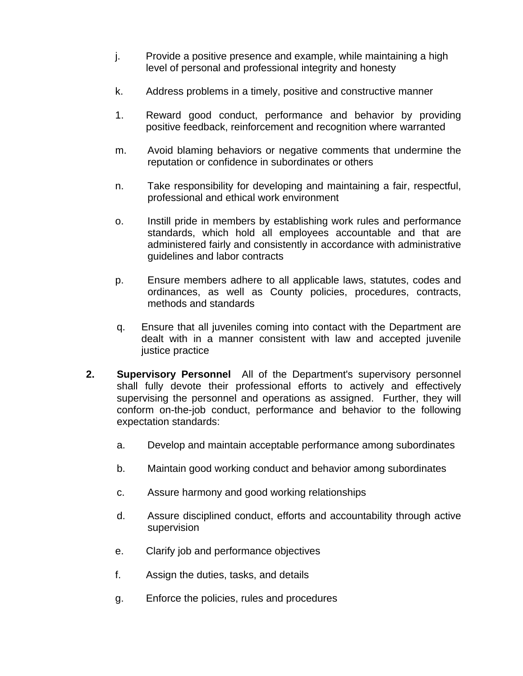- j. Provide a positive presence and example, while maintaining a high level of personal and professional integrity and honesty
- k. Address problems in a timely, positive and constructive manner
- 1. Reward good conduct, performance and behavior by providing positive feedback, reinforcement and recognition where warranted
- m. Avoid blaming behaviors or negative comments that undermine the reputation or confidence in subordinates or others
- n. Take responsibility for developing and maintaining a fair, respectful, professional and ethical work environment
- o. Instill pride in members by establishing work rules and performance standards, which hold all employees accountable and that are administered fairly and consistently in accordance with administrative guidelines and labor contracts
- p. Ensure members adhere to all applicable laws, statutes, codes and ordinances, as well as County policies, procedures, contracts, methods and standards
- q. Ensure that all juveniles coming into contact with the Department are dealt with in a manner consistent with law and accepted juvenile justice practice
- **2. Supervisory Personnel** All of the Department's supervisory personnel shall fully devote their professional efforts to actively and effectively supervising the personnel and operations as assigned. Further, they will conform on-the-job conduct, performance and behavior to the following expectation standards:
	- a. Develop and maintain acceptable performance among subordinates
	- b. Maintain good working conduct and behavior among subordinates
	- c. Assure harmony and good working relationships
	- d. Assure disciplined conduct, efforts and accountability through active supervision
	- e. Clarify job and performance objectives
	- f. Assign the duties, tasks, and details
	- g. Enforce the policies, rules and procedures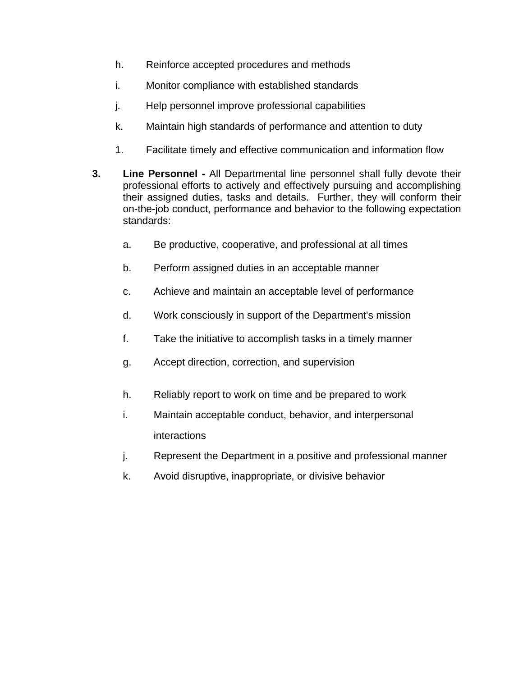- h. Reinforce accepted procedures and methods
- i. Monitor compliance with established standards
- j. Help personnel improve professional capabilities
- k. Maintain high standards of performance and attention to duty
- 1. Facilitate timely and effective communication and information flow
- **3. Line Personnel** All Departmental line personnel shall fully devote their professional efforts to actively and effectively pursuing and accomplishing their assigned duties, tasks and details. Further, they will conform their on-the-job conduct, performance and behavior to the following expectation standards:
	- a. Be productive, cooperative, and professional at all times
	- b. Perform assigned duties in an acceptable manner
	- c. Achieve and maintain an acceptable level of performance
	- d. Work consciously in support of the Department's mission
	- f. Take the initiative to accomplish tasks in a timely manner
	- g. Accept direction, correction, and supervision
	- h. Reliably report to work on time and be prepared to work
	- i. Maintain acceptable conduct, behavior, and interpersonal interactions
	- j. Represent the Department in a positive and professional manner
	- k. Avoid disruptive, inappropriate, or divisive behavior